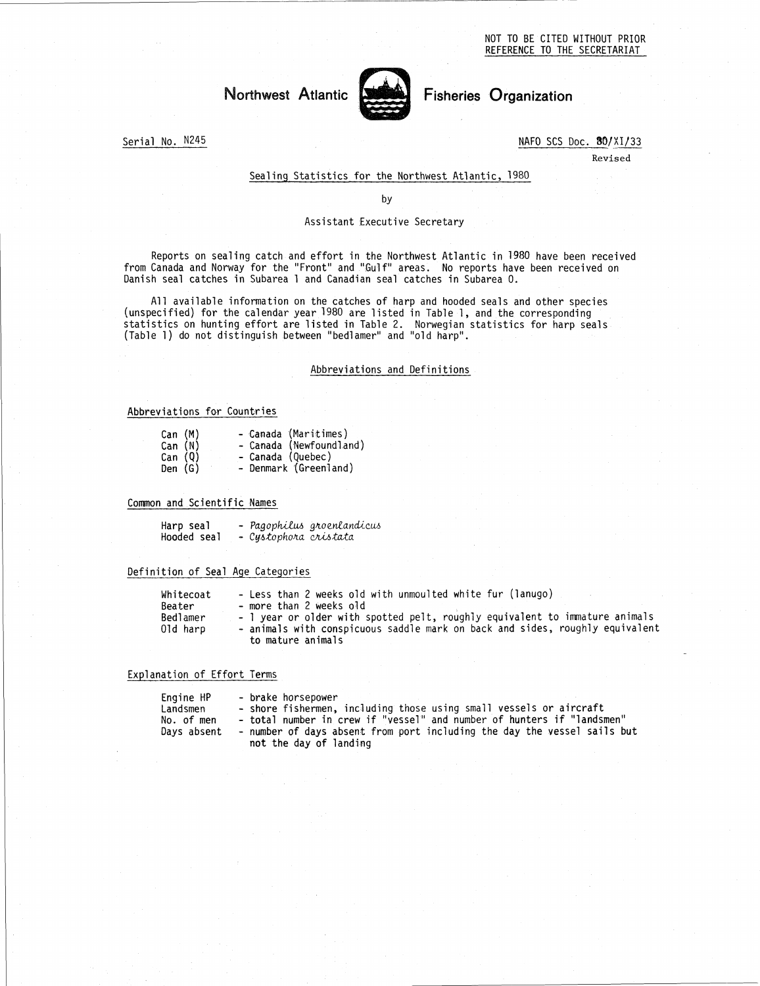# Northwest Atlantic Fisheries Organization

-



Serial No. N245 NAFO SCS Doc. 80/XI/33

Revised

# Sealing Statistics for the Northwest Atlantic, 1980

by

### Assistant Executive Secretary

Reports on sealing catch and effort in the Northwest Atlantic in 1980 have been received from Canada and Norway for the "Front" and "Gulf" areas. No reports have been received on Danish seal catches in Subarea 1 and Canadian seal catches in Subarea O.

All available information on the catches of harp and hooded seals and other species (unspecified) for the calendar year 1980 are listed in Table 1, and the corresponding statistics on hunting effort are listed in Table 2. Norwegian statistics for harp seals (Table 1) do not distinguish between "bedlamer" and "old harp".

# Abbreviations and Definitions

#### Abbreviations for Countries

|                               | Abbreviatio                                                                                           |
|-------------------------------|-------------------------------------------------------------------------------------------------------|
|                               |                                                                                                       |
| viations for Countries        |                                                                                                       |
| Can (M)<br>Can (N)<br>Den (G) | - Canada (Maritimes)<br>- Canada (Newfoundland)<br>Can (Q) - Canada (Quebec)<br>- Denmark (Greenland) |
| n and Scientific Names        |                                                                                                       |
| Hooded seal                   | <b>Harp seal - Pagophilus groenlandice</b><br>- Cystophora cristata                                   |
|                               | ition of Seal Age Categories                                                                          |

#### Common and Scientific Names

| Harp seal   |                       | - Pagophilus groenlandicus |
|-------------|-----------------------|----------------------------|
| Hooded seal | - Cystophora cristata |                            |

#### Definition of Seal Age Categories

| Can (M)<br>Can (N)<br>Can (Q)<br>Den (G)           | - Canada (Maritimes)<br>- Canada (Newfoundland)<br>- Canada (Quebec)<br>- Denmark (Greenland)                                                                                                                                                                            |  |  |
|----------------------------------------------------|--------------------------------------------------------------------------------------------------------------------------------------------------------------------------------------------------------------------------------------------------------------------------|--|--|
| n and Scientific Names                             |                                                                                                                                                                                                                                                                          |  |  |
| Harp seal<br>Hooded seal                           | - Pagophilus groenlandicus<br>- Cystophora cristata                                                                                                                                                                                                                      |  |  |
|                                                    | ition of Seal Age Categories                                                                                                                                                                                                                                             |  |  |
| Whitecoat<br>Beater<br>Bedlamer<br>01d harp        | - Less than 2 weeks old with unmoulted white fur (lanugo)<br>- more than 2 weeks old<br>- 1 year or older with spotted pelt, roughly equivalent to immature animals<br>- animals with conspicuous saddle mark on back and sides, roughly equivalent<br>to mature animals |  |  |
| nation of Effort Terms                             |                                                                                                                                                                                                                                                                          |  |  |
| Engine HP<br>Landsmen<br>No. of men<br>Days absent | - brake horsepower<br>- shore fishermen, including those using small vessels or aircraft<br>- total number in crew if "vessel" and number of hunters if "landsmen"<br>- number of days absent from port including the day the vessel sails but<br>not the day of landing |  |  |
|                                                    |                                                                                                                                                                                                                                                                          |  |  |

#### Explanation of Effort Terms

| Bedlamer<br>Old harp                               | - 1 year or older with spotted pelt, roughly equivalent to immature anima<br>- animals with conspicuous saddle mark on back and sides, roughly equival<br>to mature animals                                                                                              |
|----------------------------------------------------|--------------------------------------------------------------------------------------------------------------------------------------------------------------------------------------------------------------------------------------------------------------------------|
| ation of Effort Terms                              |                                                                                                                                                                                                                                                                          |
| Engine HP<br>Landsmen<br>No. of men<br>Days absent | - brake horsepower<br>- shore fishermen, including those using small vessels or aircraft<br>- total number in crew if "vessel" and number of hunters if "landsmen"<br>- number of days absent from port including the day the vessel sails but<br>not the day of landing |